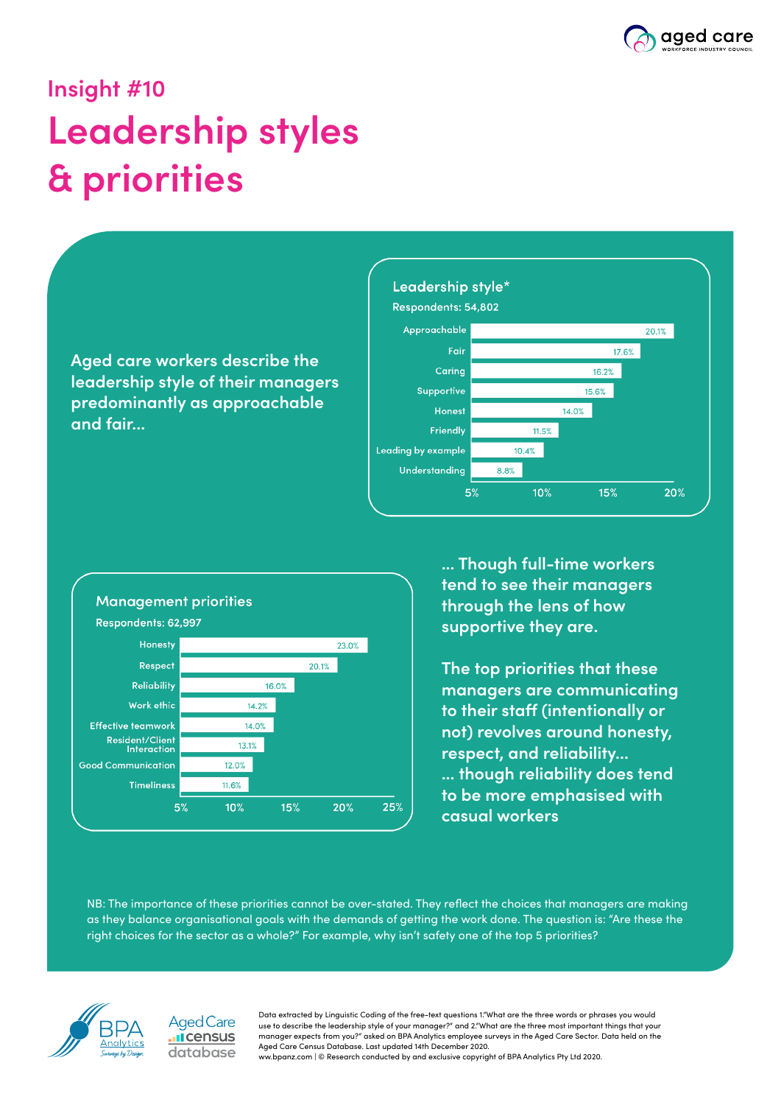

# **Insight #10 Leadership styles & priorities**

**Aged care workers describe the leadership style of their managers predominantly as approachable and fair...**





**... Though full-time workers tend to see their managers through the lens of how supportive they are.**

**The top priorities that these managers are communicating to their staff (intentionally or not) revolves around honesty, respect, and reliability... ... though reliability does tend to be more emphasised with casual workers**

NB: The importance of these priorities cannot be over-stated. They reflect the choices that managers are making as they balance organisational goals with the demands of getting the work done. The question is: "Are these the right choices for the sector as a whole?" For example, why isn't safety one of the top 5 priorities?





Data extracted by Linguistic Coding of the free-text questions 1."What are the three words or phrases you would use to describe the leadership style of your manager?" and 2."What are the three most important things that your manager expects from you?" asked on BPA Analytics employee surveys in the Aged Care Sector. Data held on the Aged Care Census Database. Last updated 14th December 2020. ww.bpanz.com | © Research conducted by and exclusive copyright of BPA Analytics Pty Ltd 2020.